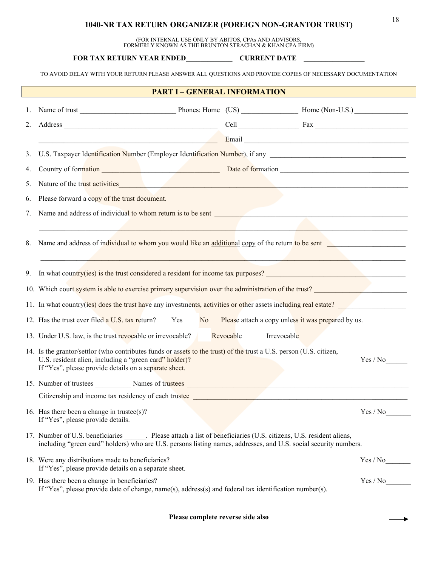## <sup>18</sup> **1040-NR TAX RETURN ORGANIZER (FOREIGN NON-GRANTOR TRUST)**

(FOR INTERNAL USE ONLY BY ABITOS, CPAs AND ADVISORS, FORMERLY KNOWN AS THE BRUNTON STRACHAN & KHAN CPA FIRM)

**FOR TAX RETURN YEAR ENDED\_\_\_\_\_\_\_\_\_\_\_\_\_ CURRENT DATE \_\_\_\_\_\_\_\_\_\_\_\_\_\_\_\_\_**

TO AVOID DELAY WITH YOUR RETURN PLEASE ANSWER ALL QUESTIONS AND PROVIDE COPIES OF NECESSARY DOCUMENTATION

| <b>PART I - GENERAL INFORMATION</b> |                                                                                                                                                                                                                                  |                                                                                                                         |                                                                                                                                                                                                                                                                                                                                                                                                         |  |  |  |
|-------------------------------------|----------------------------------------------------------------------------------------------------------------------------------------------------------------------------------------------------------------------------------|-------------------------------------------------------------------------------------------------------------------------|---------------------------------------------------------------------------------------------------------------------------------------------------------------------------------------------------------------------------------------------------------------------------------------------------------------------------------------------------------------------------------------------------------|--|--|--|
| 1.                                  |                                                                                                                                                                                                                                  |                                                                                                                         |                                                                                                                                                                                                                                                                                                                                                                                                         |  |  |  |
| 2.                                  |                                                                                                                                                                                                                                  |                                                                                                                         | $Cell$ $Fax$ $\qquad \qquad$ $\qquad \qquad$ $\qquad \qquad$ $\qquad \qquad$ $\qquad \qquad$ $\qquad \qquad$ $\qquad \qquad$ $\qquad \qquad$ $\qquad \qquad$ $\qquad \qquad$ $\qquad \qquad$ $\qquad \qquad$ $\qquad \qquad$ $\qquad \qquad$ $\qquad \qquad$ $\qquad \qquad$ $\qquad \qquad$ $\qquad \qquad$ $\qquad \qquad$ $\qquad \qquad$ $\qquad \qquad$ $\qquad \qquad$ $\qquad \qquad$ $\qquad \$ |  |  |  |
|                                     |                                                                                                                                                                                                                                  |                                                                                                                         |                                                                                                                                                                                                                                                                                                                                                                                                         |  |  |  |
| 3.                                  |                                                                                                                                                                                                                                  |                                                                                                                         |                                                                                                                                                                                                                                                                                                                                                                                                         |  |  |  |
| 4.                                  |                                                                                                                                                                                                                                  | Country of formation entering the country of formation entering the Date of formation entering the country of formation |                                                                                                                                                                                                                                                                                                                                                                                                         |  |  |  |
| 5.                                  | Nature of the trust activities and the contract of the trust activities and the contract of the trust activities                                                                                                                 |                                                                                                                         |                                                                                                                                                                                                                                                                                                                                                                                                         |  |  |  |
| 6.                                  | Please forward a copy of the trust document.                                                                                                                                                                                     |                                                                                                                         |                                                                                                                                                                                                                                                                                                                                                                                                         |  |  |  |
| 7.                                  | Name and address of individual to whom return is to be sent<br><u>Example 2001</u>                                                                                                                                               |                                                                                                                         |                                                                                                                                                                                                                                                                                                                                                                                                         |  |  |  |
|                                     |                                                                                                                                                                                                                                  |                                                                                                                         |                                                                                                                                                                                                                                                                                                                                                                                                         |  |  |  |
| 8.                                  | Name and address of individual to whom you would like an additional copy of the return to be sent                                                                                                                                |                                                                                                                         |                                                                                                                                                                                                                                                                                                                                                                                                         |  |  |  |
|                                     |                                                                                                                                                                                                                                  |                                                                                                                         |                                                                                                                                                                                                                                                                                                                                                                                                         |  |  |  |
| 9.                                  | In what country(ies) is the trust considered a resident for income tax purposes?                                                                                                                                                 |                                                                                                                         |                                                                                                                                                                                                                                                                                                                                                                                                         |  |  |  |
|                                     | 10. Which court system is able to exercise primary supervision over the administration of the trust?                                                                                                                             |                                                                                                                         |                                                                                                                                                                                                                                                                                                                                                                                                         |  |  |  |
|                                     | 11. In what country(ies) does the trust have any investments, activities or other assets including real estate?                                                                                                                  |                                                                                                                         |                                                                                                                                                                                                                                                                                                                                                                                                         |  |  |  |
|                                     | 12. Has the trust ever filed a U.S. tax return?<br>Please attach a copy unless it was prepared by us.<br>Yes<br>No No                                                                                                            |                                                                                                                         |                                                                                                                                                                                                                                                                                                                                                                                                         |  |  |  |
|                                     | 13. Under U.S. law, is the trust revocable or irrevocable?                                                                                                                                                                       | Revocable<br>Irrevocable                                                                                                |                                                                                                                                                                                                                                                                                                                                                                                                         |  |  |  |
|                                     | 14. Is the grantor/settlor (who contributes funds or assets to the trust) of the trust a U.S. person (U.S. citizen,<br>U.S. resident alien, including a "green card" holder)?                                                    |                                                                                                                         | Yes / No                                                                                                                                                                                                                                                                                                                                                                                                |  |  |  |
|                                     | If "Yes", please provide details on a separate sheet.                                                                                                                                                                            |                                                                                                                         |                                                                                                                                                                                                                                                                                                                                                                                                         |  |  |  |
|                                     | 15. Number of trustees Mames of trustees Mames of trustees Manuscriptus and the Manuscriptus of trustees Manuscriptus and the Manuscriptus of trustees Manuscriptus and the Manuscriptus of trustees Manuscriptus and the Manu   |                                                                                                                         |                                                                                                                                                                                                                                                                                                                                                                                                         |  |  |  |
|                                     |                                                                                                                                                                                                                                  |                                                                                                                         |                                                                                                                                                                                                                                                                                                                                                                                                         |  |  |  |
|                                     | 16. Has there been a change in trustee(s)?<br>If "Yes", please provide details.                                                                                                                                                  |                                                                                                                         | Yes / No                                                                                                                                                                                                                                                                                                                                                                                                |  |  |  |
|                                     | 17. Number of U.S. beneficiaries Please attach a list of beneficiaries (U.S. citizens, U.S. resident aliens,<br>including "green card" holders) who are U.S. persons listing names, addresses, and U.S. social security numbers. |                                                                                                                         |                                                                                                                                                                                                                                                                                                                                                                                                         |  |  |  |
|                                     | 18. Were any distributions made to beneficiaries?<br>If "Yes", please provide details on a separate sheet.                                                                                                                       |                                                                                                                         | Yes / No                                                                                                                                                                                                                                                                                                                                                                                                |  |  |  |
|                                     | 19. Has there been a change in beneficiaries?<br>If "Yes", please provide date of change, name(s), address(s) and federal tax identification number(s).                                                                          |                                                                                                                         | Yes / No                                                                                                                                                                                                                                                                                                                                                                                                |  |  |  |

**Please complete reverse side also**